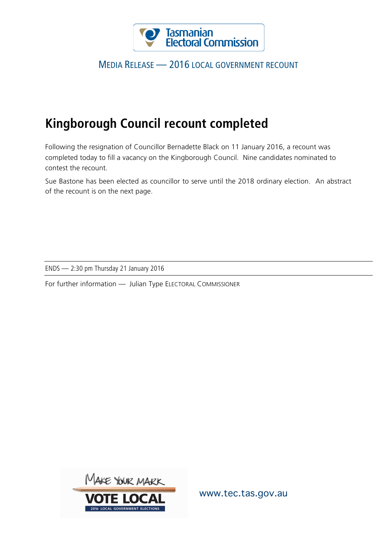

## MEDIA RELEASE — 2016 LOCAL GOVERNMENT RECOUNT

## **Kingborough Council recount completed**

Following the resignation of Councillor Bernadette Black on 11 January 2016, a recount was completed today to fill a vacancy on the Kingborough Council. Nine candidates nominated to contest the recount.

Sue Bastone has been elected as councillor to serve until the 2018 ordinary election. An abstract of the recount is on the next page.

ENDS — 2:30 pm Thursday 21 January 2016

For further information — Julian Type ELECTORAL COMMISSIONER



www.tec.tas.gov.au